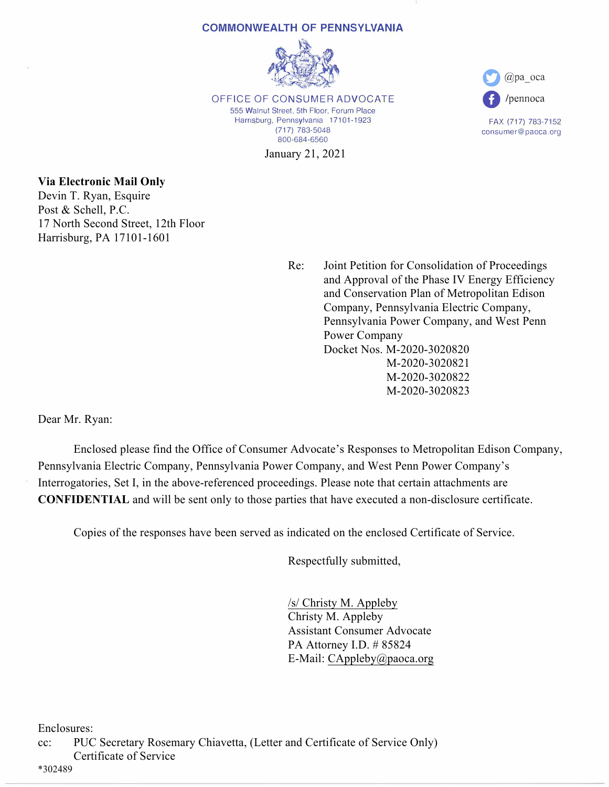#### **COMMONWEALTH OF PENNSYLVANIA**



OFFICE OF CONSUMER ADVOCATE 555 Walnut Street, 5th Floor, Forum Place Harrisburg, Pennsylvania 17101-1923 (717) 783-5048 800-684-6560

January 21, 2021



FAX (717) 783-7152 consumer@paoca.org

# **Via Electronic Mail Only**

Devin T. Ryan, Esquire Post & Schell, P.C. 17 North Second Street, 12th Floor Harrisburg, PA 17101-1601

> Re: Joint Petition for Consolidation of Proceedings and Approval of the Phase IV Energy Efficiency and Conservation Plan of Metropolitan Edison Company, Pennsylvania Electric Company, Pennsylvania Power Company, and West Penn Power Company Docket Nos. M-2020-3020820 M-2020-3020821 M-2020-3020822 M-2020-3020823

Dear Mr. Ryan:

 Enclosed please find the Office of Consumer Advocate's Responses to Metropolitan Edison Company, Pennsylvania Electric Company, Pennsylvania Power Company, and West Penn Power Company's Interrogatories, Set I, in the above-referenced proceedings. Please note that certain attachments are **CONFIDENTIAL** and will be sent only to those parties that have executed a non-disclosure certificate.

Copies of the responses have been served as indicated on the enclosed Certificate of Service.

Respectfully submitted,

 /s/ Christy M. Appleby Christy M. Appleby Assistant Consumer Advocate PA Attorney I.D. # 85824 E-Mail: CAppleby@paoca.org

Enclosures:

cc: PUC Secretary Rosemary Chiavetta, (Letter and Certificate of Service Only) Certificate of Service

\*302489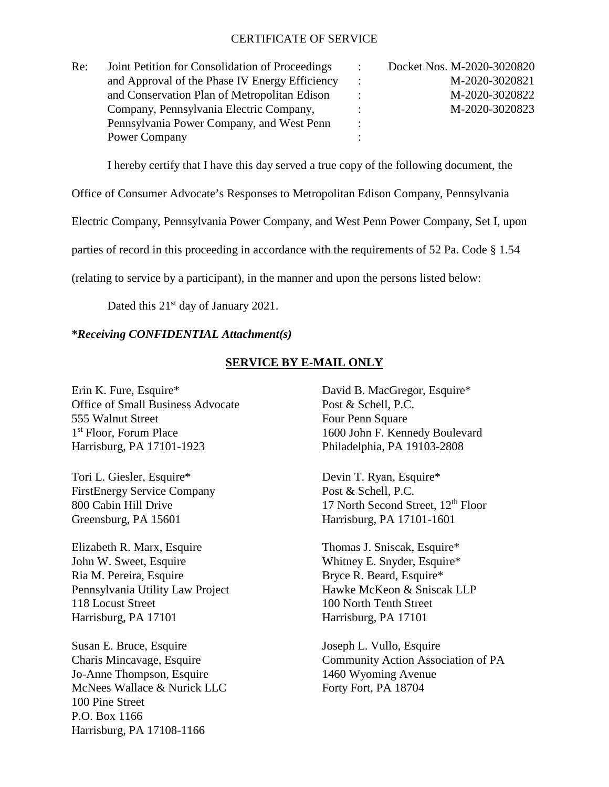### CERTIFICATE OF SERVICE

| Re: | Joint Petition for Consolidation of Proceedings | $\ddot{\phantom{0}}$ | Docket Nos. M-2020-3020820 |
|-----|-------------------------------------------------|----------------------|----------------------------|
|     | and Approval of the Phase IV Energy Efficiency  |                      | M-2020-3020821             |
|     | and Conservation Plan of Metropolitan Edison    |                      | M-2020-3020822             |
|     | Company, Pennsylvania Electric Company,         |                      | M-2020-3020823             |
|     | Pennsylvania Power Company, and West Penn       | $\bullet$            |                            |
|     | Power Company                                   |                      |                            |

I hereby certify that I have this day served a true copy of the following document, the

Office of Consumer Advocate's Responses to Metropolitan Edison Company, Pennsylvania

Electric Company, Pennsylvania Power Company, and West Penn Power Company, Set I, upon

parties of record in this proceeding in accordance with the requirements of 52 Pa. Code § 1.54

(relating to service by a participant), in the manner and upon the persons listed below:

Dated this 21<sup>st</sup> day of January 2021.

# **\****Receiving CONFIDENTIAL Attachment(s)*

# **SERVICE BY E-MAIL ONLY**

Erin K. Fure, Esquire\* David B. MacGregor, Esquire\* Office of Small Business Advocate Post & Schell, P.C. 555 Walnut Street Four Penn Square 1<sup>st</sup> Floor, Forum Place 1600 John F. Kennedy Boulevard Harrisburg, PA 17101-1923 Philadelphia, PA 19103-2808

Tori L. Giesler, Esquire\* Devin T. Ryan, Esquire\* FirstEnergy Service Company Post & Schell, P.C. Greensburg, PA 15601 Harrisburg, PA 17101-1601

Elizabeth R. Marx, Esquire Thomas J. Sniscak, Esquire \* John W. Sweet, Esquire Whitney E. Snyder, Esquire\* Ria M. Pereira, Esquire Bryce R. Beard, Esquire\* Pennsylvania Utility Law Project Hawke McKeon & Sniscak LLP 118 Locust Street 100 North Tenth Street Harrisburg, PA 17101 Harrisburg, PA 17101

Susan E. Bruce, Esquire Joseph L. Vullo, Esquire Jo-Anne Thompson, Esquire 1460 Wyoming Avenue McNees Wallace & Nurick LLC Forty Fort, PA 18704 100 Pine Street P.O. Box 1166 Harrisburg, PA 17108-1166

800 Cabin Hill Drive 17 North Second Street, 12<sup>th</sup> Floor

Charis Mincavage, Esquire Community Action Association of PA